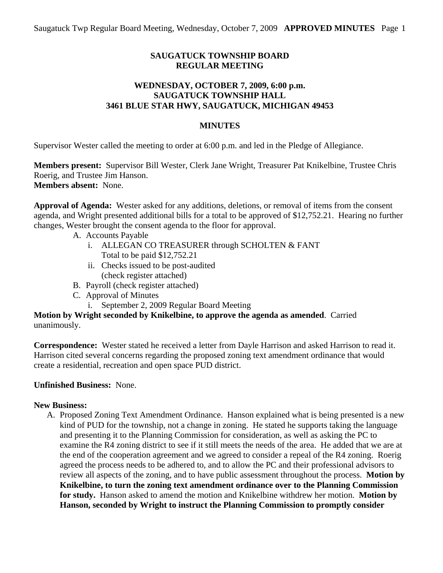### **SAUGATUCK TOWNSHIP BOARD REGULAR MEETING**

#### **WEDNESDAY, OCTOBER 7, 2009, 6:00 p.m. SAUGATUCK TOWNSHIP HALL 3461 BLUE STAR HWY, SAUGATUCK, MICHIGAN 49453**

### **MINUTES**

Supervisor Wester called the meeting to order at 6:00 p.m. and led in the Pledge of Allegiance.

**Members present:** Supervisor Bill Wester, Clerk Jane Wright, Treasurer Pat Knikelbine, Trustee Chris Roerig, and Trustee Jim Hanson. **Members absent:** None.

**Approval of Agenda:** Wester asked for any additions, deletions, or removal of items from the consent agenda, and Wright presented additional bills for a total to be approved of \$12,752.21. Hearing no further changes, Wester brought the consent agenda to the floor for approval.

- A. Accounts Payable
	- i. ALLEGAN CO TREASURER through SCHOLTEN & FANT Total to be paid \$12,752.21
	- ii. Checks issued to be post-audited (check register attached)
- B. Payroll (check register attached)
- C. Approval of Minutes
	- i. September 2, 2009 Regular Board Meeting

**Motion by Wright seconded by Knikelbine, to approve the agenda as amended**. Carried unanimously.

**Correspondence:** Wester stated he received a letter from Dayle Harrison and asked Harrison to read it. Harrison cited several concerns regarding the proposed zoning text amendment ordinance that would create a residential, recreation and open space PUD district.

### **Unfinished Business:** None.

### **New Business:**

A. Proposed Zoning Text Amendment Ordinance. Hanson explained what is being presented is a new kind of PUD for the township, not a change in zoning. He stated he supports taking the language and presenting it to the Planning Commission for consideration, as well as asking the PC to examine the R4 zoning district to see if it still meets the needs of the area. He added that we are at the end of the cooperation agreement and we agreed to consider a repeal of the R4 zoning. Roerig agreed the process needs to be adhered to, and to allow the PC and their professional advisors to review all aspects of the zoning, and to have public assessment throughout the process. **Motion by Knikelbine, to turn the zoning text amendment ordinance over to the Planning Commission for study.** Hanson asked to amend the motion and Knikelbine withdrew her motion. **Motion by Hanson, seconded by Wright to instruct the Planning Commission to promptly consider**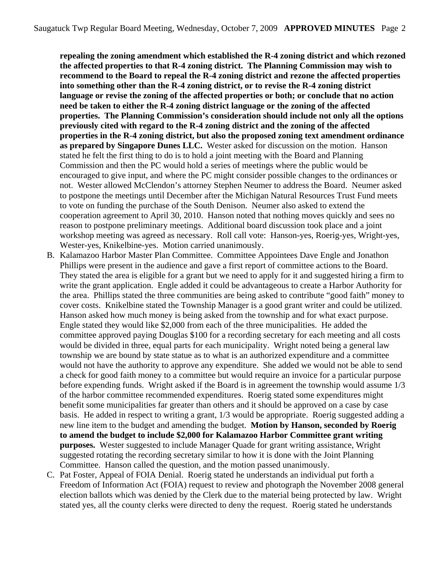**repealing the zoning amendment which established the R-4 zoning district and which rezoned the affected properties to that R-4 zoning district. The Planning Commission may wish to recommend to the Board to repeal the R-4 zoning district and rezone the affected properties into something other than the R-4 zoning district, or to revise the R-4 zoning district language or revise the zoning of the affected properties or both; or conclude that no action need be taken to either the R-4 zoning district language or the zoning of the affected properties. The Planning Commission's consideration should include not only all the options previously cited with regard to the R-4 zoning district and the zoning of the affected properties in the R-4 zoning district, but also the proposed zoning text amendment ordinance as prepared by Singapore Dunes LLC.** Wester asked for discussion on the motion. Hanson stated he felt the first thing to do is to hold a joint meeting with the Board and Planning Commission and then the PC would hold a series of meetings where the public would be encouraged to give input, and where the PC might consider possible changes to the ordinances or not. Wester allowed McClendon's attorney Stephen Neumer to address the Board. Neumer asked to postpone the meetings until December after the Michigan Natural Resources Trust Fund meets to vote on funding the purchase of the South Denison. Neumer also asked to extend the cooperation agreement to April 30, 2010. Hanson noted that nothing moves quickly and sees no reason to postpone preliminary meetings. Additional board discussion took place and a joint workshop meeting was agreed as necessary. Roll call vote: Hanson-yes, Roerig-yes, Wright-yes, Wester-yes, Knikelbine-yes. Motion carried unanimously.

- B. Kalamazoo Harbor Master Plan Committee. Committee Appointees Dave Engle and Jonathon Phillips were present in the audience and gave a first report of committee actions to the Board. They stated the area is eligible for a grant but we need to apply for it and suggested hiring a firm to write the grant application. Engle added it could be advantageous to create a Harbor Authority for the area. Phillips stated the three communities are being asked to contribute "good faith" money to cover costs. Knikelbine stated the Township Manager is a good grant writer and could be utilized. Hanson asked how much money is being asked from the township and for what exact purpose. Engle stated they would like \$2,000 from each of the three municipalities. He added the committee approved paying Douglas \$100 for a recording secretary for each meeting and all costs would be divided in three, equal parts for each municipality. Wright noted being a general law township we are bound by state statue as to what is an authorized expenditure and a committee would not have the authority to approve any expenditure. She added we would not be able to send a check for good faith money to a committee but would require an invoice for a particular purpose before expending funds. Wright asked if the Board is in agreement the township would assume 1/3 of the harbor committee recommended expenditures. Roerig stated some expenditures might benefit some municipalities far greater than others and it should be approved on a case by case basis. He added in respect to writing a grant, 1/3 would be appropriate. Roerig suggested adding a new line item to the budget and amending the budget. **Motion by Hanson, seconded by Roerig to amend the budget to include \$2,000 for Kalamazoo Harbor Committee grant writing purposes.** Wester suggested to include Manager Quade for grant writing assistance, Wright suggested rotating the recording secretary similar to how it is done with the Joint Planning Committee. Hanson called the question, and the motion passed unanimously.
- C. Pat Foster, Appeal of FOIA Denial. Roerig stated he understands an individual put forth a Freedom of Information Act (FOIA) request to review and photograph the November 2008 general election ballots which was denied by the Clerk due to the material being protected by law. Wright stated yes, all the county clerks were directed to deny the request. Roerig stated he understands